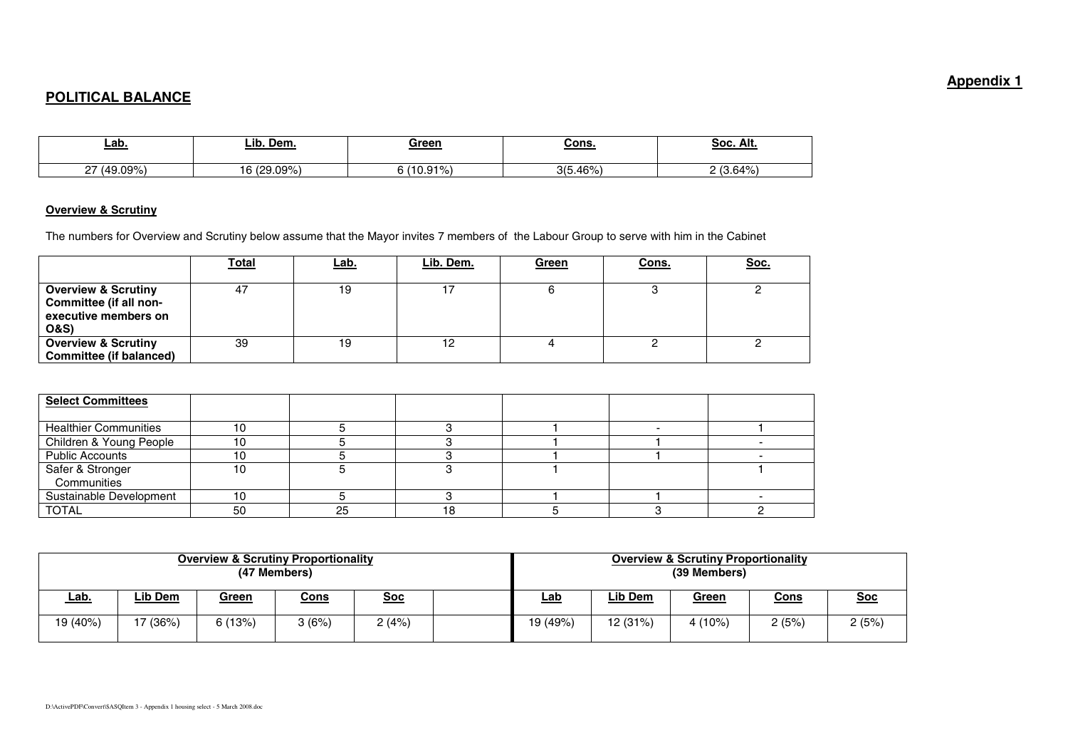## **POLITICAL BALANCE**

| <u>Lab</u>                       | ∟ib<br>Dem.           | Green   | <u>Cons.</u> | Soc. Alt.            |
|----------------------------------|-----------------------|---------|--------------|----------------------|
| $(49.09\%$<br>$\sim$<br><u>.</u> | (29.09%<br>16/20<br>U | 10.91%) | .46%<br>215  | 3.64%)<br>$\sqrt{2}$ |

## **Overview & Scrutiny**

The numbers for Overview and Scrutiny below assume that the Mayor invites 7 members of the Labour Group to serve with him in the Cabinet

|                                                                                                    | <b>Total</b> | <u>Lab.</u> | <u>Lib. Dem.</u> | <u>Green</u> | <u>Cons.</u> | <u>Soc.</u> |
|----------------------------------------------------------------------------------------------------|--------------|-------------|------------------|--------------|--------------|-------------|
| <b>Overview &amp; Scrutiny</b><br>Committee (if all non-<br>executive members on<br><b>O&amp;S</b> | 47           | 19          |                  |              |              |             |
| <b>Overview &amp; Scrutiny</b><br><b>Committee (if balanced)</b>                                   | 39           | 19          |                  |              |              |             |

| <b>Select Committees</b>     |    |    |  |  |
|------------------------------|----|----|--|--|
|                              |    |    |  |  |
| <b>Healthier Communities</b> |    |    |  |  |
| Children & Young People      |    |    |  |  |
| <b>Public Accounts</b>       |    |    |  |  |
| Safer & Stronger             | 10 |    |  |  |
| Communities                  |    |    |  |  |
| Sustainable Development      | 10 |    |  |  |
| <b>TOTAL</b>                 | 50 | 25 |  |  |

| <b>Overview &amp; Scrutiny Proportionality</b><br>(47 Members) |          |              |             |            | <b>Overview &amp; Scrutiny Proportionality</b><br>(39 Members) |            |         |              |             |            |
|----------------------------------------------------------------|----------|--------------|-------------|------------|----------------------------------------------------------------|------------|---------|--------------|-------------|------------|
| <u>Lab.</u>                                                    | Lib Dem  | <u>Green</u> | <u>Cons</u> | <u>Soc</u> |                                                                | <u>Lab</u> | Lib Dem | <u>Green</u> | <u>Cons</u> | <u>Soc</u> |
| 19 (40%)                                                       | '7 (36%) | 6(13%)       | 3(6%)       | 2(4%)      |                                                                | 19 (49%)   | 12(31%) | $4(10\%)$    | 2(5%)       | 2 (5%)     |

## **Appendix 1**